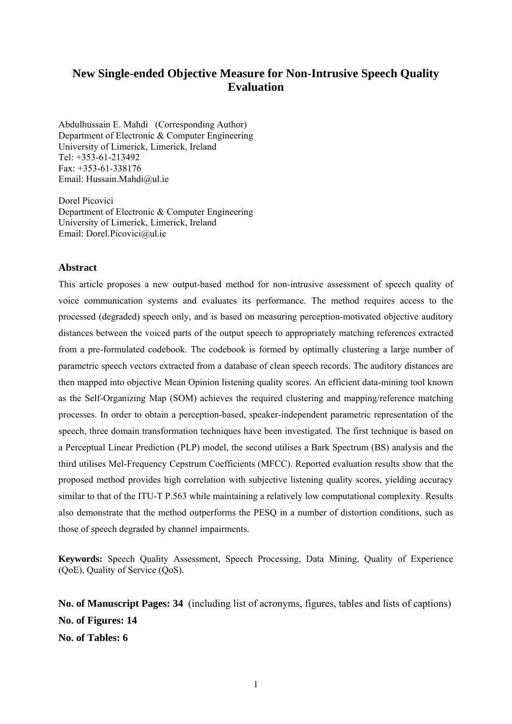## **New Single-ended Objective Measure for Non-Intrusive Speech Quality Evaluation**

Abdulhussain E. Mahdi (Corresponding Author) Department of Electronic & Computer Engineering University of Limerick, Limerick, Ireland Tel:  $+353-61-213492$ Fax: +353-61-338176 Email: Hussain.Mahdi@ul.ie

Dorel Picovici Department of Electronic & Computer Engineering University of Limerick, Limerick, Ireland Email: Dorel.Picovici@ul.ie

#### **Abstract**

This article proposes a new output-based method for non-intrusive assessment of speech quality of voice communication systems and evaluates its performance. The method requires access to the processed (degraded) speech only, and is based on measuring perception-motivated objective auditory distances between the voiced parts of the output speech to appropriately matching references extracted from a pre-formulated codebook. The codebook is formed by optimally clustering a large number of parametric speech vectors extracted from a database of clean speech records. The auditory distances are then mapped into objective Mean Opinion listening quality scores. An efficient data-mining tool known as the Self-Organizing Map (SOM) achieves the required clustering and mapping/reference matching processes. In order to obtain a perception-based, speaker-independent parametric representation of the speech, three domain transformation techniques have been investigated. The first technique is based on a Perceptual Linear Prediction (PLP) model, the second utilises a Bark Spectrum (BS) analysis and the third utilises Mel-Frequency Cepstrum Coefficients (MFCC). Reported evaluation results show that the proposed method provides high correlation with subjective listening quality scores, yielding accuracy similar to that of the ITU-T P.563 while maintaining a relatively low computational complexity. Results also demonstrate that the method outperforms the PESQ in a number of distortion conditions, such as those of speech degraded by channel impairments.

**Keywords:** Speech Quality Assessment, Speech Processing, Data Mining, Quality of Experience (QoE), Quality of Service (QoS).

**No. of Manuscript Pages: 34** (including list of acronyms, figures, tables and lists of captions) **No. of Figures: 14 No. of Tables: 6**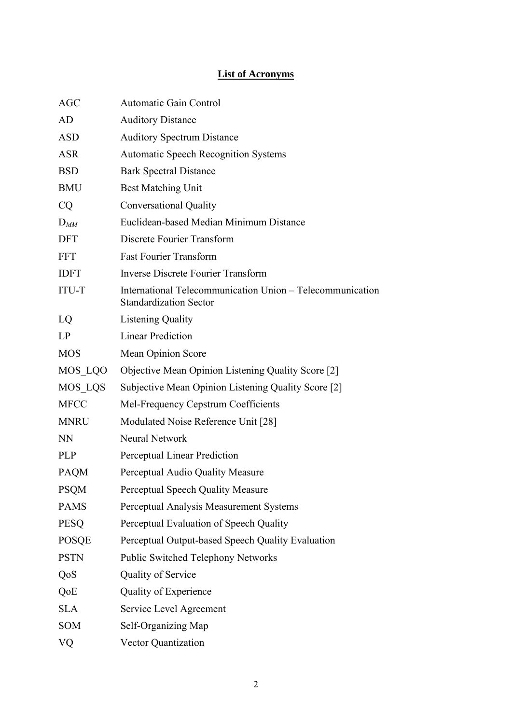# **List of Acronyms**

| <b>AGC</b>   | <b>Automatic Gain Control</b>                                                              |
|--------------|--------------------------------------------------------------------------------------------|
| AD           | <b>Auditory Distance</b>                                                                   |
| <b>ASD</b>   | <b>Auditory Spectrum Distance</b>                                                          |
| <b>ASR</b>   | <b>Automatic Speech Recognition Systems</b>                                                |
| <b>BSD</b>   | <b>Bark Spectral Distance</b>                                                              |
| <b>BMU</b>   | <b>Best Matching Unit</b>                                                                  |
| CQ           | <b>Conversational Quality</b>                                                              |
| $D_{MM}$     | Euclidean-based Median Minimum Distance                                                    |
| <b>DFT</b>   | Discrete Fourier Transform                                                                 |
| <b>FFT</b>   | <b>Fast Fourier Transform</b>                                                              |
| <b>IDFT</b>  | <b>Inverse Discrete Fourier Transform</b>                                                  |
| <b>ITU-T</b> | International Telecommunication Union - Telecommunication<br><b>Standardization Sector</b> |
| LQ           | <b>Listening Quality</b>                                                                   |
| LP           | <b>Linear Prediction</b>                                                                   |
| <b>MOS</b>   | Mean Opinion Score                                                                         |
| MOS LQO      | Objective Mean Opinion Listening Quality Score [2]                                         |
| MOS LQS      | Subjective Mean Opinion Listening Quality Score [2]                                        |
| <b>MFCC</b>  | Mel-Frequency Cepstrum Coefficients                                                        |
| <b>MNRU</b>  | Modulated Noise Reference Unit [28]                                                        |
| <b>NN</b>    | <b>Neural Network</b>                                                                      |
| <b>PLP</b>   | <b>Perceptual Linear Prediction</b>                                                        |
| <b>PAQM</b>  | Perceptual Audio Quality Measure                                                           |
| <b>PSQM</b>  | Perceptual Speech Quality Measure                                                          |
| <b>PAMS</b>  | Perceptual Analysis Measurement Systems                                                    |
| <b>PESQ</b>  | Perceptual Evaluation of Speech Quality                                                    |
| <b>POSQE</b> | Perceptual Output-based Speech Quality Evaluation                                          |
| <b>PSTN</b>  | <b>Public Switched Telephony Networks</b>                                                  |
| QoS          | Quality of Service                                                                         |
| QoE          | Quality of Experience                                                                      |
| <b>SLA</b>   | Service Level Agreement                                                                    |
| <b>SOM</b>   | Self-Organizing Map                                                                        |
| VQ           | Vector Quantization                                                                        |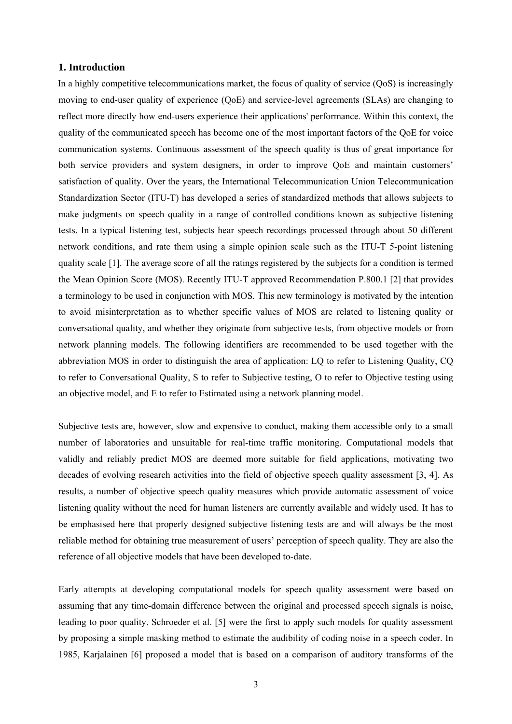#### **1. Introduction**

In a highly competitive telecommunications market, the focus of quality of service (QoS) is increasingly moving to end-user quality of experience (QoE) and service-level agreements (SLAs) are changing to reflect more directly how end-users experience their applications' performance. Within this context, the quality of the communicated speech has become one of the most important factors of the QoE for voice communication systems. Continuous assessment of the speech quality is thus of great importance for both service providers and system designers, in order to improve QoE and maintain customers' satisfaction of quality. Over the years, the International Telecommunication Union Telecommunication Standardization Sector (ITU-T) has developed a series of standardized methods that allows subjects to make judgments on speech quality in a range of controlled conditions known as subjective listening tests. In a typical listening test, subjects hear speech recordings processed through about 50 different network conditions, and rate them using a simple opinion scale such as the ITU-T 5-point listening quality scale [1]. The average score of all the ratings registered by the subjects for a condition is termed the Mean Opinion Score (MOS). Recently ITU-T approved Recommendation P.800.1 [2] that provides a terminology to be used in conjunction with MOS. This new terminology is motivated by the intention to avoid misinterpretation as to whether specific values of MOS are related to listening quality or conversational quality, and whether they originate from subjective tests, from objective models or from network planning models. The following identifiers are recommended to be used together with the abbreviation MOS in order to distinguish the area of application: LQ to refer to Listening Quality, CQ to refer to Conversational Quality, S to refer to Subjective testing, O to refer to Objective testing using an objective model, and E to refer to Estimated using a network planning model.

Subjective tests are, however, slow and expensive to conduct, making them accessible only to a small number of laboratories and unsuitable for real-time traffic monitoring. Computational models that validly and reliably predict MOS are deemed more suitable for field applications, motivating two decades of evolving research activities into the field of objective speech quality assessment [3, 4]. As results, a number of objective speech quality measures which provide automatic assessment of voice listening quality without the need for human listeners are currently available and widely used. It has to be emphasised here that properly designed subjective listening tests are and will always be the most reliable method for obtaining true measurement of users' perception of speech quality. They are also the reference of all objective models that have been developed to-date.

Early attempts at developing computational models for speech quality assessment were based on assuming that any time-domain difference between the original and processed speech signals is noise, leading to poor quality. Schroeder et al. [5] were the first to apply such models for quality assessment by proposing a simple masking method to estimate the audibility of coding noise in a speech coder. In 1985, Karjalainen [6] proposed a model that is based on a comparison of auditory transforms of the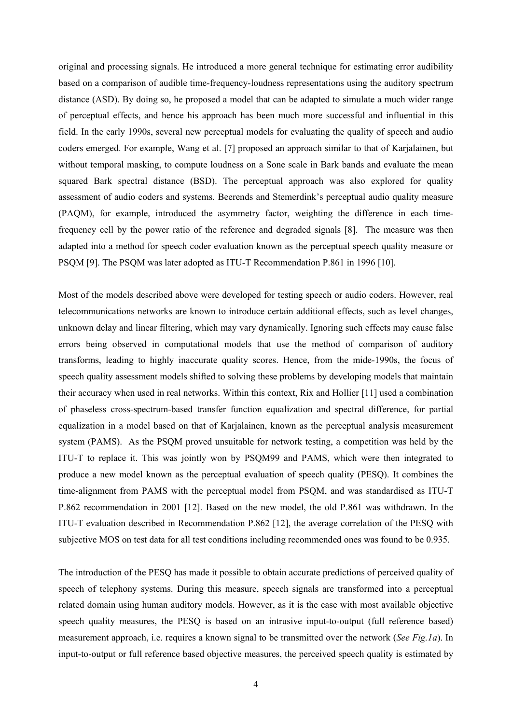original and processing signals. He introduced a more general technique for estimating error audibility based on a comparison of audible time-frequency-loudness representations using the auditory spectrum distance (ASD). By doing so, he proposed a model that can be adapted to simulate a much wider range of perceptual effects, and hence his approach has been much more successful and influential in this field. In the early 1990s, several new perceptual models for evaluating the quality of speech and audio coders emerged. For example, Wang et al. [7] proposed an approach similar to that of Karjalainen, but without temporal masking, to compute loudness on a Sone scale in Bark bands and evaluate the mean squared Bark spectral distance (BSD). The perceptual approach was also explored for quality assessment of audio coders and systems. Beerends and Stemerdink's perceptual audio quality measure (PAQM), for example, introduced the asymmetry factor, weighting the difference in each timefrequency cell by the power ratio of the reference and degraded signals [8]. The measure was then adapted into a method for speech coder evaluation known as the perceptual speech quality measure or PSQM [9]. The PSQM was later adopted as ITU-T Recommendation P.861 in 1996 [10].

Most of the models described above were developed for testing speech or audio coders. However, real telecommunications networks are known to introduce certain additional effects, such as level changes, unknown delay and linear filtering, which may vary dynamically. Ignoring such effects may cause false errors being observed in computational models that use the method of comparison of auditory transforms, leading to highly inaccurate quality scores. Hence, from the mide-1990s, the focus of speech quality assessment models shifted to solving these problems by developing models that maintain their accuracy when used in real networks. Within this context, Rix and Hollier [11] used a combination of phaseless cross-spectrum-based transfer function equalization and spectral difference, for partial equalization in a model based on that of Karjalainen, known as the perceptual analysis measurement system (PAMS). As the PSQM proved unsuitable for network testing, a competition was held by the ITU-T to replace it. This was jointly won by PSQM99 and PAMS, which were then integrated to produce a new model known as the perceptual evaluation of speech quality (PESQ). It combines the time-alignment from PAMS with the perceptual model from PSQM, and was standardised as ITU-T P.862 recommendation in 2001 [12]. Based on the new model, the old P.861 was withdrawn. In the ITU-T evaluation described in Recommendation P.862 [12], the average correlation of the PESQ with subjective MOS on test data for all test conditions including recommended ones was found to be 0.935.

The introduction of the PESQ has made it possible to obtain accurate predictions of perceived quality of speech of telephony systems. During this measure, speech signals are transformed into a perceptual related domain using human auditory models. However, as it is the case with most available objective speech quality measures, the PESQ is based on an intrusive input-to-output (full reference based) measurement approach, i.e. requires a known signal to be transmitted over the network (*See Fig.1a*). In input-to-output or full reference based objective measures, the perceived speech quality is estimated by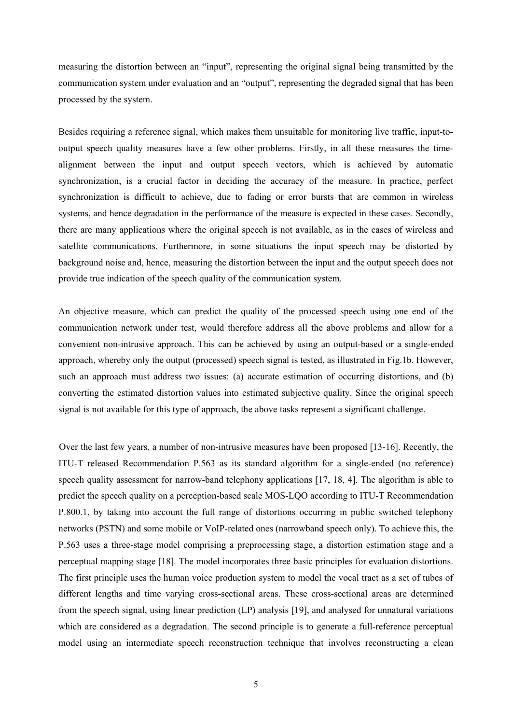measuring the distortion between an "input", representing the original signal being transmitted by the communication system under evaluation and an "output", representing the degraded signal that has been processed by the system.

Besides requiring a reference signal, which makes them unsuitable for monitoring live traffic, input-tooutput speech quality measures have a few other problems. Firstly, in all these measures the timealignment between the input and output speech vectors, which is achieved by automatic synchronization, is a crucial factor in deciding the accuracy of the measure. In practice, perfect synchronization is difficult to achieve, due to fading or error bursts that are common in wireless systems, and hence degradation in the performance of the measure is expected in these cases. Secondly, there are many applications where the original speech is not available, as in the cases of wireless and satellite communications. Furthermore, in some situations the input speech may be distorted by background noise and, hence, measuring the distortion between the input and the output speech does not provide true indication of the speech quality of the communication system.

An objective measure, which can predict the quality of the processed speech using one end of the communication network under test, would therefore address all the above problems and allow for a convenient non-intrusive approach. This can be achieved by using an output-based or a single-ended approach, whereby only the output (processed) speech signal is tested, as illustrated in Fig.1b. However, such an approach must address two issues: (a) accurate estimation of occurring distortions, and (b) converting the estimated distortion values into estimated subjective quality. Since the original speech signal is not available for this type of approach, the above tasks represent a significant challenge.

Over the last few years, a number of non-intrusive measures have been proposed [13-16]. Recently, the ITU-T released Recommendation P.563 as its standard algorithm for a single-ended (no reference) speech quality assessment for narrow-band telephony applications [17, 18, 4]. The algorithm is able to predict the speech quality on a perception-based scale MOS-LQO according to ITU-T Recommendation P.800.1, by taking into account the full range of distortions occurring in public switched telephony networks (PSTN) and some mobile or VoIP-related ones (narrowband speech only). To achieve this, the P.563 uses a three-stage model comprising a preprocessing stage, a distortion estimation stage and a perceptual mapping stage [18]. The model incorporates three basic principles for evaluation distortions. The first principle uses the human voice production system to model the vocal tract as a set of tubes of different lengths and time varying cross-sectional areas. These cross-sectional areas are determined from the speech signal, using linear prediction (LP) analysis [19], and analysed for unnatural variations which are considered as a degradation. The second principle is to generate a full-reference perceptual model using an intermediate speech reconstruction technique that involves reconstructing a clean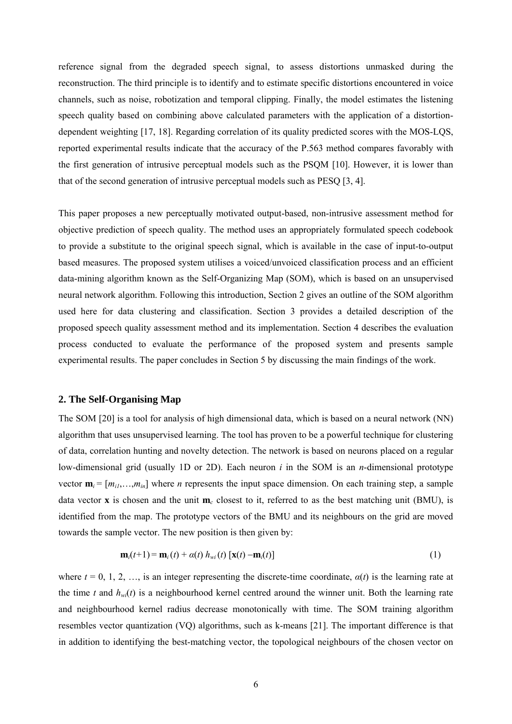reference signal from the degraded speech signal, to assess distortions unmasked during the reconstruction. The third principle is to identify and to estimate specific distortions encountered in voice channels, such as noise, robotization and temporal clipping. Finally, the model estimates the listening speech quality based on combining above calculated parameters with the application of a distortiondependent weighting [17, 18]. Regarding correlation of its quality predicted scores with the MOS-LQS, reported experimental results indicate that the accuracy of the P.563 method compares favorably with the first generation of intrusive perceptual models such as the PSQM [10]. However, it is lower than that of the second generation of intrusive perceptual models such as PESQ [3, 4].

This paper proposes a new perceptually motivated output-based, non-intrusive assessment method for objective prediction of speech quality. The method uses an appropriately formulated speech codebook to provide a substitute to the original speech signal, which is available in the case of input-to-output based measures. The proposed system utilises a voiced/unvoiced classification process and an efficient data-mining algorithm known as the Self-Organizing Map (SOM), which is based on an unsupervised neural network algorithm. Following this introduction, Section 2 gives an outline of the SOM algorithm used here for data clustering and classification. Section 3 provides a detailed description of the proposed speech quality assessment method and its implementation. Section 4 describes the evaluation process conducted to evaluate the performance of the proposed system and presents sample experimental results. The paper concludes in Section 5 by discussing the main findings of the work.

#### **2. The Self-Organising Map**

The SOM [20] is a tool for analysis of high dimensional data, which is based on a neural network (NN) algorithm that uses unsupervised learning. The tool has proven to be a powerful technique for clustering of data, correlation hunting and novelty detection. The network is based on neurons placed on a regular low-dimensional grid (usually 1D or 2D). Each neuron *i* in the SOM is an *n*-dimensional prototype vector  $\mathbf{m}_i = [m_{i1},...,\overline{m}_{in}]$  where *n* represents the input space dimension. On each training step, a sample data vector **x** is chosen and the unit **m***c* closest to it, referred to as the best matching unit (BMU), is identified from the map. The prototype vectors of the BMU and its neighbours on the grid are moved towards the sample vector. The new position is then given by:

$$
\mathbf{m}_i(t+1) = \mathbf{m}_i(t) + \alpha(t) h_{wi}(t) [\mathbf{x}(t) - \mathbf{m}_i(t)] \tag{1}
$$

where  $t = 0, 1, 2, \ldots$ , is an integer representing the discrete-time coordinate,  $\alpha(t)$  is the learning rate at the time *t* and  $h_{wl}(t)$  is a neighbourhood kernel centred around the winner unit. Both the learning rate and neighbourhood kernel radius decrease monotonically with time. The SOM training algorithm resembles vector quantization (VQ) algorithms, such as k-means [21]. The important difference is that in addition to identifying the best-matching vector, the topological neighbours of the chosen vector on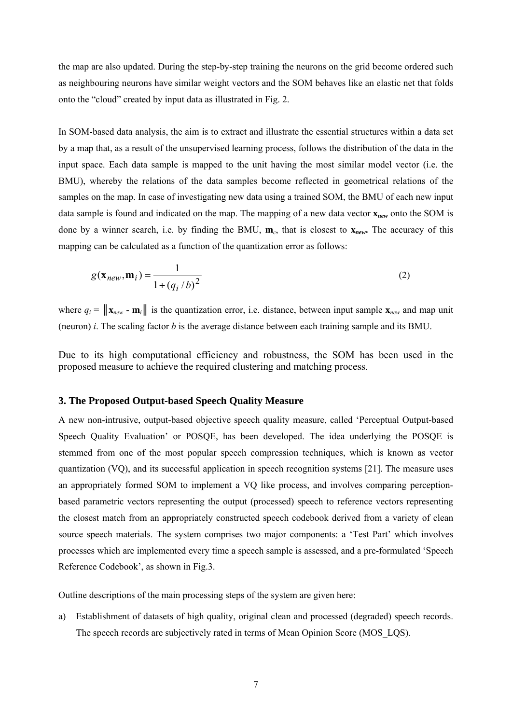the map are also updated. During the step-by-step training the neurons on the grid become ordered such as neighbouring neurons have similar weight vectors and the SOM behaves like an elastic net that folds onto the "cloud" created by input data as illustrated in Fig. 2.

In SOM-based data analysis, the aim is to extract and illustrate the essential structures within a data set by a map that, as a result of the unsupervised learning process, follows the distribution of the data in the input space. Each data sample is mapped to the unit having the most similar model vector (i.e. the BMU), whereby the relations of the data samples become reflected in geometrical relations of the samples on the map. In case of investigating new data using a trained SOM, the BMU of each new input data sample is found and indicated on the map. The mapping of a new data vector **x***new* onto the SOM is done by a winner search, i.e. by finding the BMU, **m***c*, that is closest to **x***new***.** The accuracy of this mapping can be calculated as a function of the quantization error as follows:

$$
g(\mathbf{x}_{new}, \mathbf{m}_i) = \frac{1}{1 + (q_i/b)^2}
$$
 (2)

where  $q_i = ||\mathbf{x}_{new} - \mathbf{m}_i||$  is the quantization error, i.e. distance, between input sample  $\mathbf{x}_{new}$  and map unit (neuron) *i*. The scaling factor *b* is the average distance between each training sample and its BMU.

Due to its high computational efficiency and robustness, the SOM has been used in the proposed measure to achieve the required clustering and matching process.

#### **3. The Proposed Output-based Speech Quality Measure**

A new non-intrusive, output-based objective speech quality measure, called 'Perceptual Output-based Speech Quality Evaluation' or POSQE, has been developed. The idea underlying the POSQE is stemmed from one of the most popular speech compression techniques, which is known as vector quantization (VQ), and its successful application in speech recognition systems [21]. The measure uses an appropriately formed SOM to implement a VQ like process, and involves comparing perceptionbased parametric vectors representing the output (processed) speech to reference vectors representing the closest match from an appropriately constructed speech codebook derived from a variety of clean source speech materials. The system comprises two major components: a 'Test Part' which involves processes which are implemented every time a speech sample is assessed, and a pre-formulated 'Speech Reference Codebook', as shown in Fig.3.

Outline descriptions of the main processing steps of the system are given here:

a) Establishment of datasets of high quality, original clean and processed (degraded) speech records. The speech records are subjectively rated in terms of Mean Opinion Score (MOS\_LQS).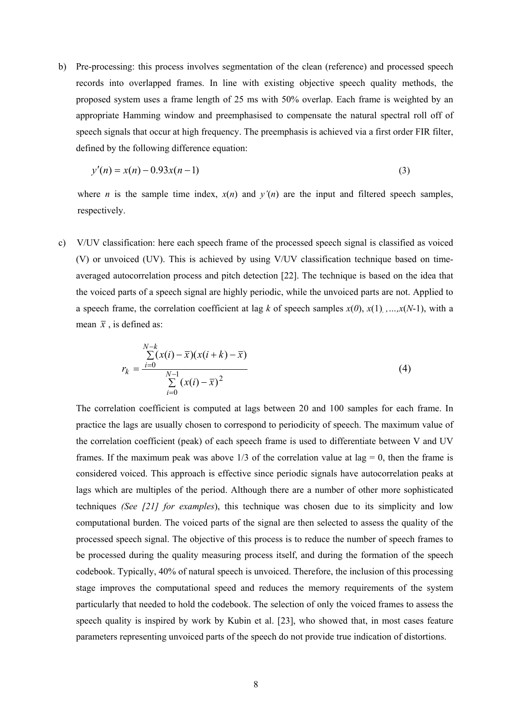b) Pre-processing: this process involves segmentation of the clean (reference) and processed speech records into overlapped frames. In line with existing objective speech quality methods, the proposed system uses a frame length of 25 ms with 50% overlap. Each frame is weighted by an appropriate Hamming window and preemphasised to compensate the natural spectral roll off of speech signals that occur at high frequency. The preemphasis is achieved via a first order FIR filter, defined by the following difference equation:

$$
y'(n) = x(n) - 0.93x(n-1)
$$
\n(3)

where *n* is the sample time index,  $x(n)$  and  $y'(n)$  are the input and filtered speech samples, respectively.

c) V/UV classification: here each speech frame of the processed speech signal is classified as voiced (V) or unvoiced (UV). This is achieved by using V/UV classification technique based on timeaveraged autocorrelation process and pitch detection [22]. The technique is based on the idea that the voiced parts of a speech signal are highly periodic, while the unvoiced parts are not. Applied to a speech frame, the correlation coefficient at lag *k* of speech samples  $x(0)$ ,  $x(1)$ , , , , , x(N-1), with a mean  $\bar{x}$ , is defined as:

$$
r_{k} = \frac{\sum_{i=0}^{N-k} (x(i) - \bar{x})(x(i+k) - \bar{x})}{\sum_{i=0}^{N-1} (x(i) - \bar{x})^{2}}
$$
(4)

The correlation coefficient is computed at lags between 20 and 100 samples for each frame. In practice the lags are usually chosen to correspond to periodicity of speech. The maximum value of the correlation coefficient (peak) of each speech frame is used to differentiate between V and UV frames. If the maximum peak was above  $1/3$  of the correlation value at lag = 0, then the frame is considered voiced. This approach is effective since periodic signals have autocorrelation peaks at lags which are multiples of the period. Although there are a number of other more sophisticated techniques *(See [21] for examples*), this technique was chosen due to its simplicity and low computational burden. The voiced parts of the signal are then selected to assess the quality of the processed speech signal. The objective of this process is to reduce the number of speech frames to be processed during the quality measuring process itself, and during the formation of the speech codebook. Typically, 40% of natural speech is unvoiced. Therefore, the inclusion of this processing stage improves the computational speed and reduces the memory requirements of the system particularly that needed to hold the codebook. The selection of only the voiced frames to assess the speech quality is inspired by work by Kubin et al. [23], who showed that, in most cases feature parameters representing unvoiced parts of the speech do not provide true indication of distortions.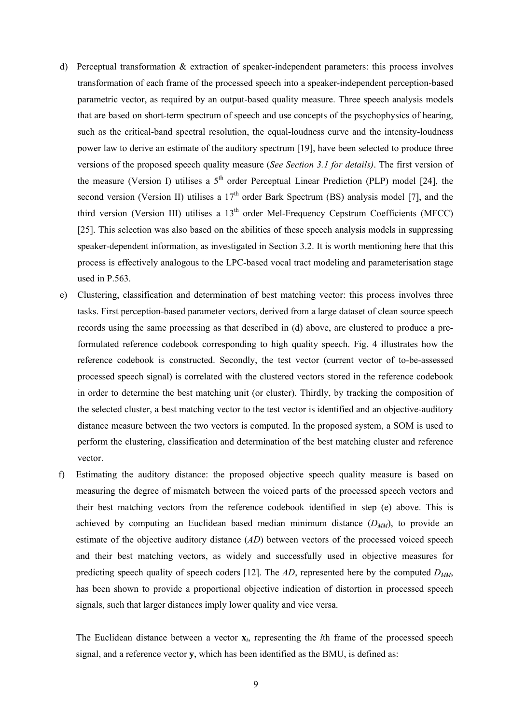- d) Perceptual transformation & extraction of speaker-independent parameters: this process involves transformation of each frame of the processed speech into a speaker-independent perception-based parametric vector, as required by an output-based quality measure. Three speech analysis models that are based on short-term spectrum of speech and use concepts of the psychophysics of hearing, such as the critical-band spectral resolution, the equal-loudness curve and the intensity-loudness power law to derive an estimate of the auditory spectrum [19], have been selected to produce three versions of the proposed speech quality measure (*See Section 3.1 for details)*. The first version of the measure (Version I) utilises a  $5<sup>th</sup>$  order Perceptual Linear Prediction (PLP) model [24], the second version (Version II) utilises a  $17<sup>th</sup>$  order Bark Spectrum (BS) analysis model [7], and the third version (Version III) utilises a  $13<sup>th</sup>$  order Mel-Frequency Cepstrum Coefficients (MFCC) [25]. This selection was also based on the abilities of these speech analysis models in suppressing speaker-dependent information, as investigated in Section 3.2. It is worth mentioning here that this process is effectively analogous to the LPC-based vocal tract modeling and parameterisation stage used in P.563.
- e) Clustering, classification and determination of best matching vector: this process involves three tasks. First perception-based parameter vectors, derived from a large dataset of clean source speech records using the same processing as that described in (d) above, are clustered to produce a preformulated reference codebook corresponding to high quality speech. Fig. 4 illustrates how the reference codebook is constructed. Secondly, the test vector (current vector of to-be-assessed processed speech signal) is correlated with the clustered vectors stored in the reference codebook in order to determine the best matching unit (or cluster). Thirdly, by tracking the composition of the selected cluster, a best matching vector to the test vector is identified and an objective-auditory distance measure between the two vectors is computed. In the proposed system, a SOM is used to perform the clustering, classification and determination of the best matching cluster and reference vector.
- f) Estimating the auditory distance: the proposed objective speech quality measure is based on measuring the degree of mismatch between the voiced parts of the processed speech vectors and their best matching vectors from the reference codebook identified in step (e) above. This is achieved by computing an Euclidean based median minimum distance  $(D_{MM})$ , to provide an estimate of the objective auditory distance (*AD*) between vectors of the processed voiced speech and their best matching vectors, as widely and successfully used in objective measures for predicting speech quality of speech coders [12]. The  $AD$ , represented here by the computed  $D_{MM}$ , has been shown to provide a proportional objective indication of distortion in processed speech signals, such that larger distances imply lower quality and vice versa.

 The Euclidean distance between a vector **x***l*, representing the *l*th frame of the processed speech signal, and a reference vector **y**, which has been identified as the BMU, is defined as: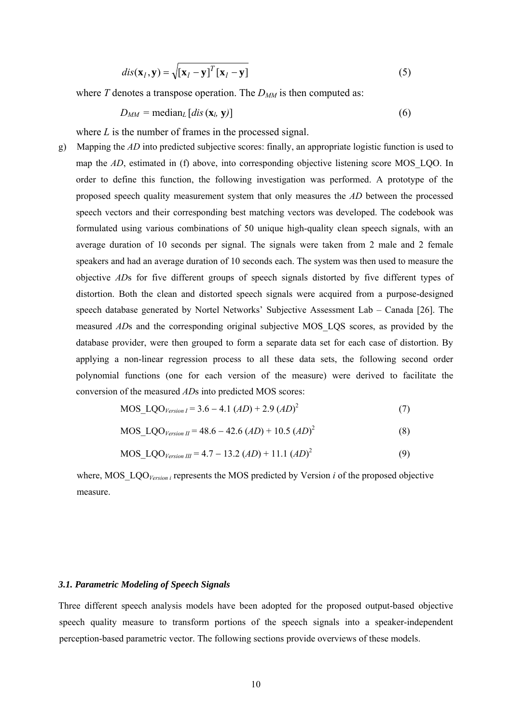$$
dis(\mathbf{x}_{l}, \mathbf{y}) = \sqrt{\left[\mathbf{x}_{l} - \mathbf{y}\right]^{T}\left[\mathbf{x}_{l} - \mathbf{y}\right]}
$$
(5)

where *T* denotes a transpose operation. The  $D_{MN}$  is then computed as:

$$
D_{MM} = \text{median}_{L} \left[ dis \left( \mathbf{x}_{l}, \mathbf{y} \right) \right] \tag{6}
$$

where *L* is the number of frames in the processed signal.

g) Mapping the *AD* into predicted subjective scores: finally, an appropriate logistic function is used to map the *AD*, estimated in (f) above, into corresponding objective listening score MOS LQO. In order to define this function, the following investigation was performed. A prototype of the proposed speech quality measurement system that only measures the *AD* between the processed speech vectors and their corresponding best matching vectors was developed. The codebook was formulated using various combinations of 50 unique high-quality clean speech signals, with an average duration of 10 seconds per signal. The signals were taken from 2 male and 2 female speakers and had an average duration of 10 seconds each. The system was then used to measure the objective *AD*s for five different groups of speech signals distorted by five different types of distortion. Both the clean and distorted speech signals were acquired from a purpose-designed speech database generated by Nortel Networks' Subjective Assessment Lab – Canada [26]. The measured *AD*s and the corresponding original subjective MOS\_LQS scores, as provided by the database provider, were then grouped to form a separate data set for each case of distortion. By applying a non-linear regression process to all these data sets, the following second order polynomial functions (one for each version of the measure) were derived to facilitate the conversion of the measured *AD*s into predicted MOS scores:

$$
MOS\_LQO_{Version I} = 3.6 - 4.1 (AD) + 2.9 (AD)2
$$
 (7)

$$
MOS\_LQO_{Version II} = 48.6 - 42.6 (AD) + 10.5 (AD)2
$$
 (8)

$$
MOS\_LQO_{Version III} = 4.7 - 13.2 (AD) + 11.1 (AD)2
$$
 (9)

where, MOS<sub>LQO</sub><sub>Version *i*</sub> represents the MOS predicted by Version *i* of the proposed objective measure.

#### *3.1. Parametric Modeling of Speech Signals*

Three different speech analysis models have been adopted for the proposed output-based objective speech quality measure to transform portions of the speech signals into a speaker-independent perception-based parametric vector. The following sections provide overviews of these models.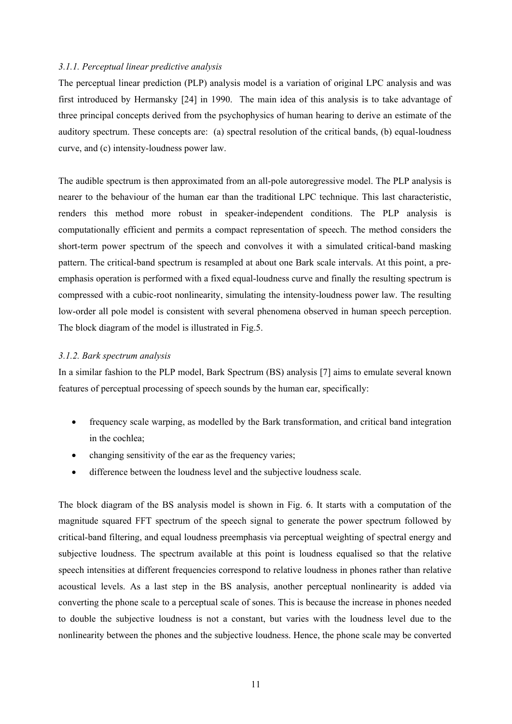#### *3.1.1. Perceptual linear predictive analysis*

The perceptual linear prediction (PLP) analysis model is a variation of original LPC analysis and was first introduced by Hermansky [24] in 1990. The main idea of this analysis is to take advantage of three principal concepts derived from the psychophysics of human hearing to derive an estimate of the auditory spectrum. These concepts are: (a) spectral resolution of the critical bands, (b) equal-loudness curve, and (c) intensity-loudness power law.

The audible spectrum is then approximated from an all-pole autoregressive model. The PLP analysis is nearer to the behaviour of the human ear than the traditional LPC technique. This last characteristic, renders this method more robust in speaker-independent conditions. The PLP analysis is computationally efficient and permits a compact representation of speech. The method considers the short-term power spectrum of the speech and convolves it with a simulated critical-band masking pattern. The critical-band spectrum is resampled at about one Bark scale intervals. At this point, a preemphasis operation is performed with a fixed equal-loudness curve and finally the resulting spectrum is compressed with a cubic-root nonlinearity, simulating the intensity-loudness power law. The resulting low-order all pole model is consistent with several phenomena observed in human speech perception. The block diagram of the model is illustrated in Fig.5.

#### *3.1.2. Bark spectrum analysis*

In a similar fashion to the PLP model, Bark Spectrum (BS) analysis [7] aims to emulate several known features of perceptual processing of speech sounds by the human ear, specifically:

- frequency scale warping, as modelled by the Bark transformation, and critical band integration in the cochlea;
- changing sensitivity of the ear as the frequency varies;
- difference between the loudness level and the subjective loudness scale.

The block diagram of the BS analysis model is shown in Fig. 6. It starts with a computation of the magnitude squared FFT spectrum of the speech signal to generate the power spectrum followed by critical-band filtering, and equal loudness preemphasis via perceptual weighting of spectral energy and subjective loudness. The spectrum available at this point is loudness equalised so that the relative speech intensities at different frequencies correspond to relative loudness in phones rather than relative acoustical levels. As a last step in the BS analysis, another perceptual nonlinearity is added via converting the phone scale to a perceptual scale of sones. This is because the increase in phones needed to double the subjective loudness is not a constant, but varies with the loudness level due to the nonlinearity between the phones and the subjective loudness. Hence, the phone scale may be converted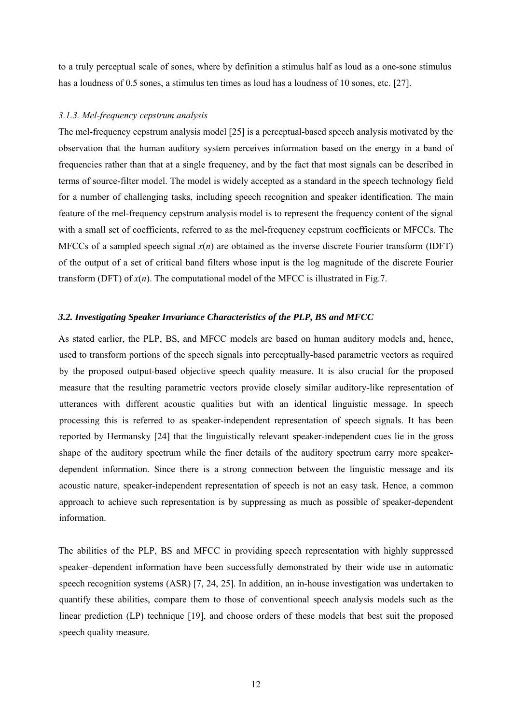to a truly perceptual scale of sones, where by definition a stimulus half as loud as a one-sone stimulus has a loudness of 0.5 sones, a stimulus ten times as loud has a loudness of 10 sones, etc. [27].

#### *3.1.3. Mel-frequency cepstrum analysis*

The mel-frequency cepstrum analysis model [25] is a perceptual-based speech analysis motivated by the observation that the human auditory system perceives information based on the energy in a band of frequencies rather than that at a single frequency, and by the fact that most signals can be described in terms of source-filter model. The model is widely accepted as a standard in the speech technology field for a number of challenging tasks, including speech recognition and speaker identification. The main feature of the mel-frequency cepstrum analysis model is to represent the frequency content of the signal with a small set of coefficients, referred to as the mel-frequency cepstrum coefficients or MFCCs. The MFCCs of a sampled speech signal  $x(n)$  are obtained as the inverse discrete Fourier transform (IDFT) of the output of a set of critical band filters whose input is the log magnitude of the discrete Fourier transform (DFT) of  $x(n)$ . The computational model of the MFCC is illustrated in Fig.7.

#### *3.2. Investigating Speaker Invariance Characteristics of the PLP, BS and MFCC*

As stated earlier, the PLP, BS, and MFCC models are based on human auditory models and, hence, used to transform portions of the speech signals into perceptually-based parametric vectors as required by the proposed output-based objective speech quality measure. It is also crucial for the proposed measure that the resulting parametric vectors provide closely similar auditory-like representation of utterances with different acoustic qualities but with an identical linguistic message. In speech processing this is referred to as speaker-independent representation of speech signals. It has been reported by Hermansky [24] that the linguistically relevant speaker-independent cues lie in the gross shape of the auditory spectrum while the finer details of the auditory spectrum carry more speakerdependent information. Since there is a strong connection between the linguistic message and its acoustic nature, speaker-independent representation of speech is not an easy task. Hence, a common approach to achieve such representation is by suppressing as much as possible of speaker-dependent information.

The abilities of the PLP, BS and MFCC in providing speech representation with highly suppressed speaker–dependent information have been successfully demonstrated by their wide use in automatic speech recognition systems (ASR) [7, 24, 25]. In addition, an in-house investigation was undertaken to quantify these abilities, compare them to those of conventional speech analysis models such as the linear prediction (LP) technique [19], and choose orders of these models that best suit the proposed speech quality measure.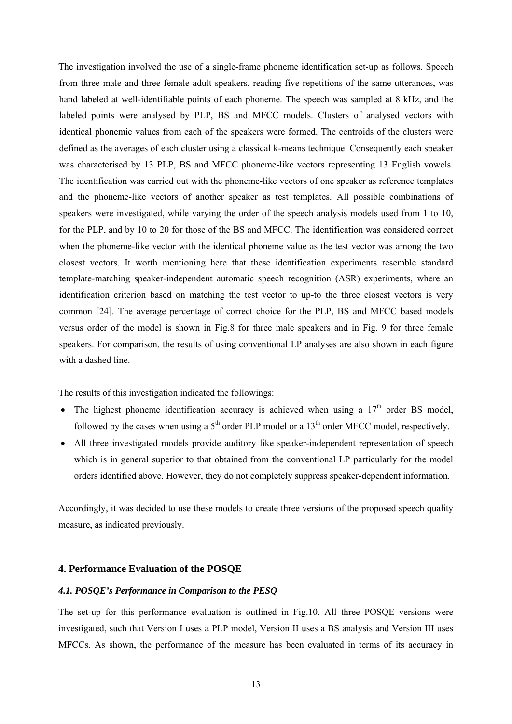The investigation involved the use of a single-frame phoneme identification set-up as follows. Speech from three male and three female adult speakers, reading five repetitions of the same utterances, was hand labeled at well-identifiable points of each phoneme. The speech was sampled at 8 kHz, and the labeled points were analysed by PLP, BS and MFCC models. Clusters of analysed vectors with identical phonemic values from each of the speakers were formed. The centroids of the clusters were defined as the averages of each cluster using a classical k-means technique. Consequently each speaker was characterised by 13 PLP, BS and MFCC phoneme-like vectors representing 13 English vowels. The identification was carried out with the phoneme-like vectors of one speaker as reference templates and the phoneme-like vectors of another speaker as test templates. All possible combinations of speakers were investigated, while varying the order of the speech analysis models used from 1 to 10, for the PLP, and by 10 to 20 for those of the BS and MFCC. The identification was considered correct when the phoneme-like vector with the identical phoneme value as the test vector was among the two closest vectors. It worth mentioning here that these identification experiments resemble standard template-matching speaker-independent automatic speech recognition (ASR) experiments, where an identification criterion based on matching the test vector to up-to the three closest vectors is very common [24]. The average percentage of correct choice for the PLP, BS and MFCC based models versus order of the model is shown in Fig.8 for three male speakers and in Fig. 9 for three female speakers. For comparison, the results of using conventional LP analyses are also shown in each figure with a dashed line.

The results of this investigation indicated the followings:

- The highest phoneme identification accuracy is achieved when using a  $17<sup>th</sup>$  order BS model, followed by the cases when using a  $5<sup>th</sup>$  order PLP model or a 13<sup>th</sup> order MFCC model, respectively.
- All three investigated models provide auditory like speaker-independent representation of speech which is in general superior to that obtained from the conventional LP particularly for the model orders identified above. However, they do not completely suppress speaker-dependent information.

Accordingly, it was decided to use these models to create three versions of the proposed speech quality measure, as indicated previously.

#### **4. Performance Evaluation of the POSQE**

#### *4.1. POSQE's Performance in Comparison to the PESQ*

The set-up for this performance evaluation is outlined in Fig.10. All three POSQE versions were investigated, such that Version I uses a PLP model, Version II uses a BS analysis and Version III uses MFCCs. As shown, the performance of the measure has been evaluated in terms of its accuracy in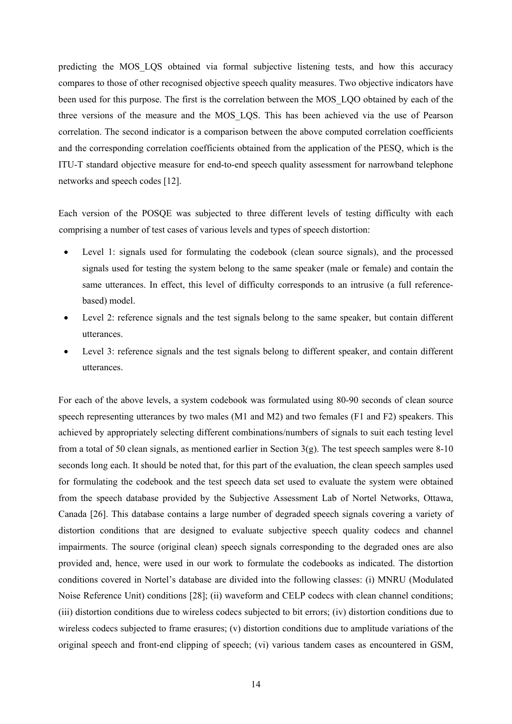predicting the MOS LQS obtained via formal subjective listening tests, and how this accuracy compares to those of other recognised objective speech quality measures. Two objective indicators have been used for this purpose. The first is the correlation between the MOS\_LQO obtained by each of the three versions of the measure and the MOS\_LQS. This has been achieved via the use of Pearson correlation. The second indicator is a comparison between the above computed correlation coefficients and the corresponding correlation coefficients obtained from the application of the PESQ, which is the ITU-T standard objective measure for end-to-end speech quality assessment for narrowband telephone networks and speech codes [12].

Each version of the POSQE was subjected to three different levels of testing difficulty with each comprising a number of test cases of various levels and types of speech distortion:

- Level 1: signals used for formulating the codebook (clean source signals), and the processed signals used for testing the system belong to the same speaker (male or female) and contain the same utterances. In effect, this level of difficulty corresponds to an intrusive (a full referencebased) model.
- Level 2: reference signals and the test signals belong to the same speaker, but contain different utterances.
- Level 3: reference signals and the test signals belong to different speaker, and contain different utterances.

For each of the above levels, a system codebook was formulated using 80-90 seconds of clean source speech representing utterances by two males (M1 and M2) and two females (F1 and F2) speakers. This achieved by appropriately selecting different combinations/numbers of signals to suit each testing level from a total of 50 clean signals, as mentioned earlier in Section  $3(g)$ . The test speech samples were 8-10 seconds long each. It should be noted that, for this part of the evaluation, the clean speech samples used for formulating the codebook and the test speech data set used to evaluate the system were obtained from the speech database provided by the Subjective Assessment Lab of Nortel Networks, Ottawa, Canada [26]. This database contains a large number of degraded speech signals covering a variety of distortion conditions that are designed to evaluate subjective speech quality codecs and channel impairments. The source (original clean) speech signals corresponding to the degraded ones are also provided and, hence, were used in our work to formulate the codebooks as indicated. The distortion conditions covered in Nortel's database are divided into the following classes: (i) MNRU (Modulated Noise Reference Unit) conditions [28]; (ii) waveform and CELP codecs with clean channel conditions; (iii) distortion conditions due to wireless codecs subjected to bit errors; (iv) distortion conditions due to wireless codecs subjected to frame erasures; (v) distortion conditions due to amplitude variations of the original speech and front-end clipping of speech; (vi) various tandem cases as encountered in GSM,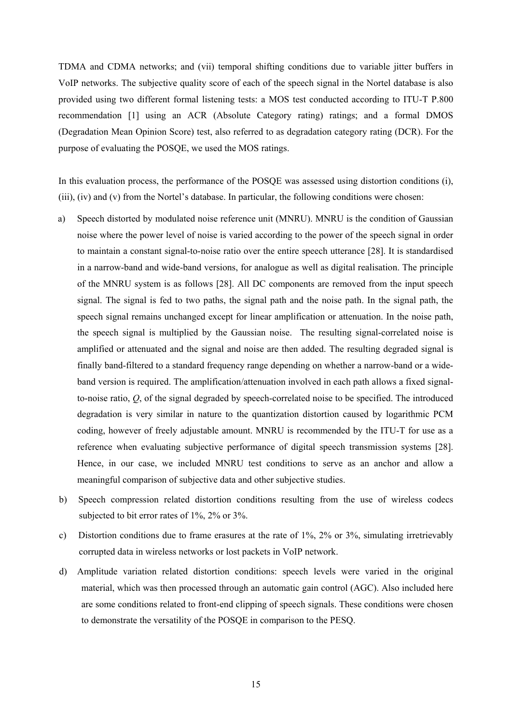TDMA and CDMA networks; and (vii) temporal shifting conditions due to variable jitter buffers in VoIP networks. The subjective quality score of each of the speech signal in the Nortel database is also provided using two different formal listening tests: a MOS test conducted according to ITU-T P.800 recommendation [1] using an ACR (Absolute Category rating) ratings; and a formal DMOS (Degradation Mean Opinion Score) test, also referred to as degradation category rating (DCR). For the purpose of evaluating the POSQE, we used the MOS ratings.

In this evaluation process, the performance of the POSQE was assessed using distortion conditions (i), (iii), (iv) and (v) from the Nortel's database. In particular, the following conditions were chosen:

- a) Speech distorted by modulated noise reference unit (MNRU). MNRU is the condition of Gaussian noise where the power level of noise is varied according to the power of the speech signal in order to maintain a constant signal-to-noise ratio over the entire speech utterance [28]. It is standardised in a narrow-band and wide-band versions, for analogue as well as digital realisation. The principle of the MNRU system is as follows [28]. All DC components are removed from the input speech signal. The signal is fed to two paths, the signal path and the noise path. In the signal path, the speech signal remains unchanged except for linear amplification or attenuation. In the noise path, the speech signal is multiplied by the Gaussian noise. The resulting signal-correlated noise is amplified or attenuated and the signal and noise are then added. The resulting degraded signal is finally band-filtered to a standard frequency range depending on whether a narrow-band or a wideband version is required. The amplification/attenuation involved in each path allows a fixed signalto-noise ratio, *Q*, of the signal degraded by speech-correlated noise to be specified. The introduced degradation is very similar in nature to the quantization distortion caused by logarithmic PCM coding, however of freely adjustable amount. MNRU is recommended by the ITU-T for use as a reference when evaluating subjective performance of digital speech transmission systems [28]. Hence, in our case, we included MNRU test conditions to serve as an anchor and allow a meaningful comparison of subjective data and other subjective studies.
- b) Speech compression related distortion conditions resulting from the use of wireless codecs subjected to bit error rates of 1%, 2% or 3%.
- c) Distortion conditions due to frame erasures at the rate of 1%, 2% or 3%, simulating irretrievably corrupted data in wireless networks or lost packets in VoIP network.
- d) Amplitude variation related distortion conditions: speech levels were varied in the original material, which was then processed through an automatic gain control (AGC). Also included here are some conditions related to front-end clipping of speech signals. These conditions were chosen to demonstrate the versatility of the POSQE in comparison to the PESQ.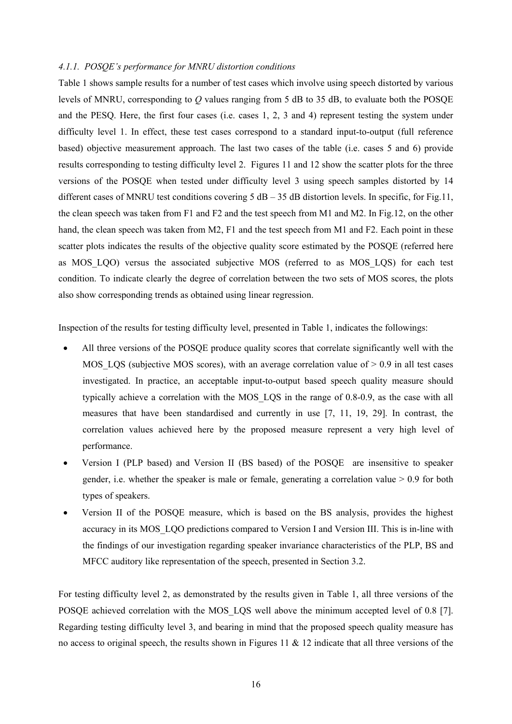#### *4.1.1. POSQE's performance for MNRU distortion conditions*

Table 1 shows sample results for a number of test cases which involve using speech distorted by various levels of MNRU, corresponding to *Q* values ranging from 5 dB to 35 dB, to evaluate both the POSQE and the PESQ. Here, the first four cases (i.e. cases 1, 2, 3 and 4) represent testing the system under difficulty level 1. In effect, these test cases correspond to a standard input-to-output (full reference based) objective measurement approach. The last two cases of the table (i.e. cases 5 and 6) provide results corresponding to testing difficulty level 2. Figures 11 and 12 show the scatter plots for the three versions of the POSQE when tested under difficulty level 3 using speech samples distorted by 14 different cases of MNRU test conditions covering  $5$  dB – 35 dB distortion levels. In specific, for Fig.11, the clean speech was taken from F1 and F2 and the test speech from M1 and M2. In Fig.12, on the other hand, the clean speech was taken from M2, F1 and the test speech from M1 and F2. Each point in these scatter plots indicates the results of the objective quality score estimated by the POSQE (referred here as MOS\_LQO) versus the associated subjective MOS (referred to as MOS\_LQS) for each test condition. To indicate clearly the degree of correlation between the two sets of MOS scores, the plots also show corresponding trends as obtained using linear regression.

Inspection of the results for testing difficulty level, presented in Table 1, indicates the followings:

- All three versions of the POSQE produce quality scores that correlate significantly well with the MOS LOS (subjective MOS scores), with an average correlation value of  $> 0.9$  in all test cases investigated. In practice, an acceptable input-to-output based speech quality measure should typically achieve a correlation with the MOS\_LQS in the range of 0.8-0.9, as the case with all measures that have been standardised and currently in use [7, 11, 19, 29]. In contrast, the correlation values achieved here by the proposed measure represent a very high level of performance.
- Version I (PLP based) and Version II (BS based) of the POSQE are insensitive to speaker gender, i.e. whether the speaker is male or female, generating a correlation value > 0.9 for both types of speakers.
- Version II of the POSQE measure, which is based on the BS analysis, provides the highest accuracy in its MOS LQO predictions compared to Version I and Version III. This is in-line with the findings of our investigation regarding speaker invariance characteristics of the PLP, BS and MFCC auditory like representation of the speech, presented in Section 3.2.

For testing difficulty level 2, as demonstrated by the results given in Table 1, all three versions of the POSQE achieved correlation with the MOS\_LQS well above the minimum accepted level of 0.8 [7]. Regarding testing difficulty level 3, and bearing in mind that the proposed speech quality measure has no access to original speech, the results shown in Figures 11  $\&$  12 indicate that all three versions of the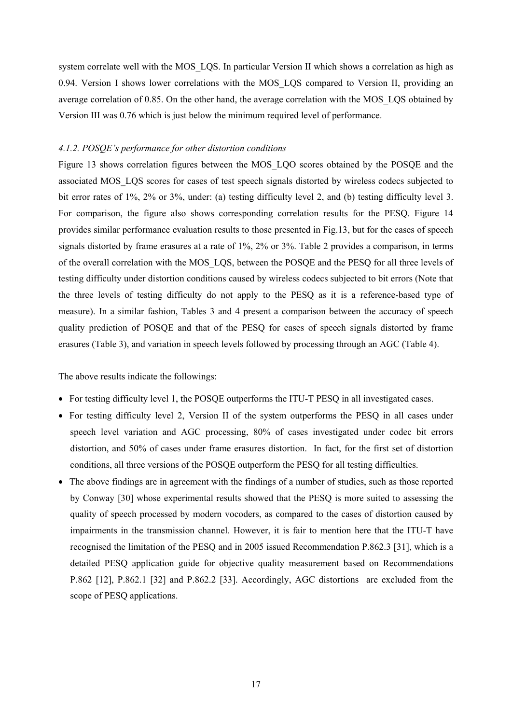system correlate well with the MOS\_LQS. In particular Version II which shows a correlation as high as 0.94. Version I shows lower correlations with the MOS\_LQS compared to Version II, providing an average correlation of 0.85. On the other hand, the average correlation with the MOS\_LQS obtained by Version III was 0.76 which is just below the minimum required level of performance.

#### *4.1.2. POSQE's performance for other distortion conditions*

Figure 13 shows correlation figures between the MOS\_LQO scores obtained by the POSQE and the associated MOS\_LQS scores for cases of test speech signals distorted by wireless codecs subjected to bit error rates of 1%, 2% or 3%, under: (a) testing difficulty level 2, and (b) testing difficulty level 3. For comparison, the figure also shows corresponding correlation results for the PESQ. Figure 14 provides similar performance evaluation results to those presented in Fig.13, but for the cases of speech signals distorted by frame erasures at a rate of 1%, 2% or 3%. Table 2 provides a comparison, in terms of the overall correlation with the MOS\_LQS, between the POSQE and the PESQ for all three levels of testing difficulty under distortion conditions caused by wireless codecs subjected to bit errors (Note that the three levels of testing difficulty do not apply to the PESQ as it is a reference-based type of measure). In a similar fashion, Tables 3 and 4 present a comparison between the accuracy of speech quality prediction of POSQE and that of the PESQ for cases of speech signals distorted by frame erasures (Table 3), and variation in speech levels followed by processing through an AGC (Table 4).

The above results indicate the followings:

- For testing difficulty level 1, the POSQE outperforms the ITU-T PESQ in all investigated cases.
- For testing difficulty level 2, Version II of the system outperforms the PESQ in all cases under speech level variation and AGC processing, 80% of cases investigated under codec bit errors distortion, and 50% of cases under frame erasures distortion. In fact, for the first set of distortion conditions, all three versions of the POSQE outperform the PESQ for all testing difficulties.
- The above findings are in agreement with the findings of a number of studies, such as those reported by Conway [30] whose experimental results showed that the PESQ is more suited to assessing the quality of speech processed by modern vocoders, as compared to the cases of distortion caused by impairments in the transmission channel. However, it is fair to mention here that the ITU-T have recognised the limitation of the PESQ and in 2005 issued Recommendation P.862.3 [31], which is a detailed PESQ application guide for objective quality measurement based on Recommendations P.862 [12], P.862.1 [32] and P.862.2 [33]. Accordingly, AGC distortions are excluded from the scope of PESQ applications.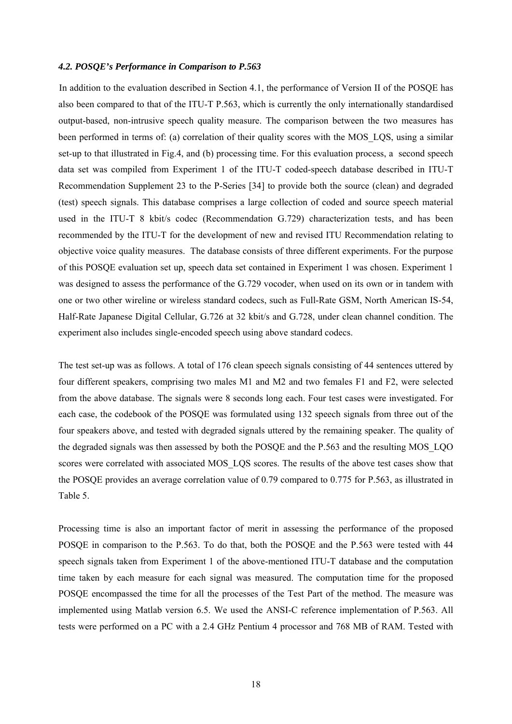#### *4.2. POSQE's Performance in Comparison to P.563*

In addition to the evaluation described in Section 4.1, the performance of Version II of the POSQE has also been compared to that of the ITU-T P.563, which is currently the only internationally standardised output-based, non-intrusive speech quality measure. The comparison between the two measures has been performed in terms of: (a) correlation of their quality scores with the MOS\_LQS, using a similar set-up to that illustrated in Fig.4, and (b) processing time. For this evaluation process, a second speech data set was compiled from Experiment 1 of the ITU-T coded-speech database described in ITU-T Recommendation Supplement 23 to the P-Series [34] to provide both the source (clean) and degraded (test) speech signals. This database comprises a large collection of coded and source speech material used in the ITU-T 8 kbit/s codec (Recommendation G.729) characterization tests, and has been recommended by the ITU-T for the development of new and revised ITU Recommendation relating to objective voice quality measures. The database consists of three different experiments. For the purpose of this POSQE evaluation set up, speech data set contained in Experiment 1 was chosen. Experiment 1 was designed to assess the performance of the G.729 vocoder, when used on its own or in tandem with one or two other wireline or wireless standard codecs, such as Full-Rate GSM, North American IS-54, Half-Rate Japanese Digital Cellular, G.726 at 32 kbit/s and G.728, under clean channel condition. The experiment also includes single-encoded speech using above standard codecs.

The test set-up was as follows. A total of 176 clean speech signals consisting of 44 sentences uttered by four different speakers, comprising two males M1 and M2 and two females F1 and F2, were selected from the above database. The signals were 8 seconds long each. Four test cases were investigated. For each case, the codebook of the POSQE was formulated using 132 speech signals from three out of the four speakers above, and tested with degraded signals uttered by the remaining speaker. The quality of the degraded signals was then assessed by both the POSQE and the P.563 and the resulting MOS\_LQO scores were correlated with associated MOS\_LQS scores. The results of the above test cases show that the POSQE provides an average correlation value of 0.79 compared to 0.775 for P.563, as illustrated in Table 5.

Processing time is also an important factor of merit in assessing the performance of the proposed POSQE in comparison to the P.563. To do that, both the POSQE and the P.563 were tested with 44 speech signals taken from Experiment 1 of the above-mentioned ITU-T database and the computation time taken by each measure for each signal was measured. The computation time for the proposed POSQE encompassed the time for all the processes of the Test Part of the method. The measure was implemented using Matlab version 6.5. We used the ANSI-C reference implementation of P.563. All tests were performed on a PC with a 2.4 GHz Pentium 4 processor and 768 MB of RAM. Tested with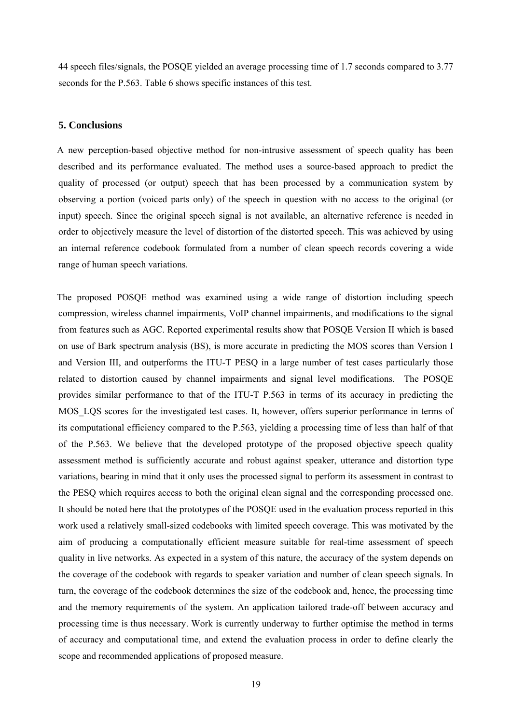44 speech files/signals, the POSQE yielded an average processing time of 1.7 seconds compared to 3.77 seconds for the P.563. Table 6 shows specific instances of this test.

#### **5. Conclusions**

A new perception-based objective method for non-intrusive assessment of speech quality has been described and its performance evaluated. The method uses a source-based approach to predict the quality of processed (or output) speech that has been processed by a communication system by observing a portion (voiced parts only) of the speech in question with no access to the original (or input) speech. Since the original speech signal is not available, an alternative reference is needed in order to objectively measure the level of distortion of the distorted speech. This was achieved by using an internal reference codebook formulated from a number of clean speech records covering a wide range of human speech variations.

The proposed POSQE method was examined using a wide range of distortion including speech compression, wireless channel impairments, VoIP channel impairments, and modifications to the signal from features such as AGC. Reported experimental results show that POSQE Version II which is based on use of Bark spectrum analysis (BS), is more accurate in predicting the MOS scores than Version I and Version III, and outperforms the ITU-T PESQ in a large number of test cases particularly those related to distortion caused by channel impairments and signal level modifications. The POSQE provides similar performance to that of the ITU-T P.563 in terms of its accuracy in predicting the MOS<sub>LOS</sub> scores for the investigated test cases. It, however, offers superior performance in terms of its computational efficiency compared to the P.563, yielding a processing time of less than half of that of the P.563. We believe that the developed prototype of the proposed objective speech quality assessment method is sufficiently accurate and robust against speaker, utterance and distortion type variations, bearing in mind that it only uses the processed signal to perform its assessment in contrast to the PESQ which requires access to both the original clean signal and the corresponding processed one. It should be noted here that the prototypes of the POSQE used in the evaluation process reported in this work used a relatively small-sized codebooks with limited speech coverage. This was motivated by the aim of producing a computationally efficient measure suitable for real-time assessment of speech quality in live networks. As expected in a system of this nature, the accuracy of the system depends on the coverage of the codebook with regards to speaker variation and number of clean speech signals. In turn, the coverage of the codebook determines the size of the codebook and, hence, the processing time and the memory requirements of the system. An application tailored trade-off between accuracy and processing time is thus necessary. Work is currently underway to further optimise the method in terms of accuracy and computational time, and extend the evaluation process in order to define clearly the scope and recommended applications of proposed measure.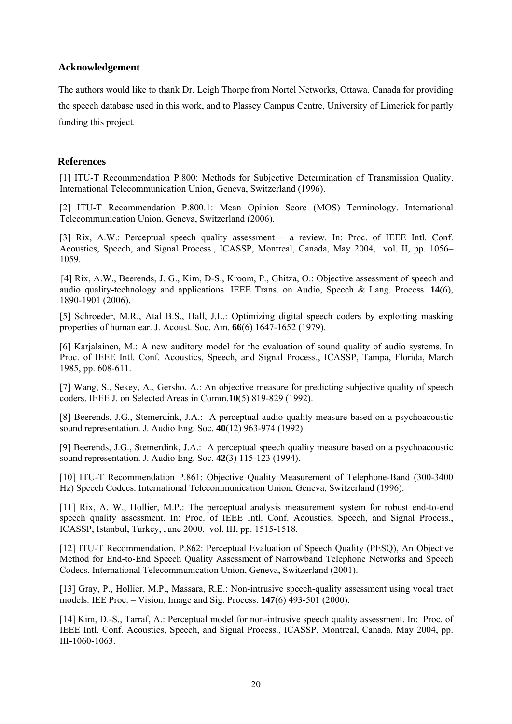#### **Acknowledgement**

The authors would like to thank Dr. Leigh Thorpe from Nortel Networks, Ottawa, Canada for providing the speech database used in this work, and to Plassey Campus Centre, University of Limerick for partly funding this project.

### **References**

[1] ITU-T Recommendation P.800: Methods for Subjective Determination of Transmission Quality. International Telecommunication Union, Geneva, Switzerland (1996).

[2] ITU-T Recommendation P.800.1: Mean Opinion Score (MOS) Terminology. International Telecommunication Union, Geneva, Switzerland (2006).

[3] Rix, A.W.: Perceptual speech quality assessment – a review*.* In: Proc. of IEEE Intl. Conf. Acoustics, Speech, and Signal Process., ICASSP, Montreal, Canada, May 2004, vol. II, pp. 1056– 1059.

[4] Rix, A.W., Beerends, J. G., Kim, D-S., Kroom, P., Ghitza, O.: Objective assessment of speech and audio quality-technology and applications. IEEE Trans. on Audio, Speech & Lang. Process. **14**(6), 1890-1901 (2006).

[5] Schroeder, M.R., Atal B.S., Hall, J.L.: Optimizing digital speech coders by exploiting masking properties of human ear. J. Acoust. Soc. Am. **66**(6) 1647-1652 (1979).

[6] Karjalainen, M.: A new auditory model for the evaluation of sound quality of audio systems. In Proc. of IEEE Intl. Conf. Acoustics, Speech, and Signal Process., ICASSP, Tampa, Florida, March 1985, pp. 608-611.

[7] Wang, S., Sekey, A., Gersho, A.: An objective measure for predicting subjective quality of speech coders. IEEE J. on Selected Areas in Comm.**10**(5) 819-829 (1992).

[8] Beerends, J.G., Stemerdink, J.A.: A perceptual audio quality measure based on a psychoacoustic sound representation. J. Audio Eng. Soc. **40**(12) 963-974 (1992).

[9] Beerends, J.G., Stemerdink, J.A.: A perceptual speech quality measure based on a psychoacoustic sound representation. J. Audio Eng. Soc. **42**(3) 115-123 (1994).

[10] ITU-T Recommendation P.861: Objective Quality Measurement of Telephone-Band (300-3400 Hz) Speech Codecs. International Telecommunication Union, Geneva, Switzerland (1996).

[11] Rix, A. W., Hollier, M.P.: The perceptual analysis measurement system for robust end-to-end speech quality assessment. In: Proc. of IEEE Intl. Conf. Acoustics, Speech, and Signal Process., ICASSP, Istanbul, Turkey, June 2000, vol. III, pp. 1515-1518.

[12] ITU-T Recommendation. P.862: Perceptual Evaluation of Speech Quality (PESQ), An Objective Method for End-to-End Speech Quality Assessment of Narrowband Telephone Networks and Speech Codecs. International Telecommunication Union, Geneva, Switzerland (2001).

[13] Gray, P., Hollier, M.P., Massara, R.E.: Non-intrusive speech-quality assessment using vocal tract models. IEE Proc. – Vision, Image and Sig. Process. **147**(6) 493-501 (2000).

[14] Kim, D.-S., Tarraf, A.: Perceptual model for non-intrusive speech quality assessment. In: Proc. of IEEE Intl. Conf. Acoustics, Speech, and Signal Process., ICASSP, Montreal, Canada, May 2004, pp. III-1060-1063.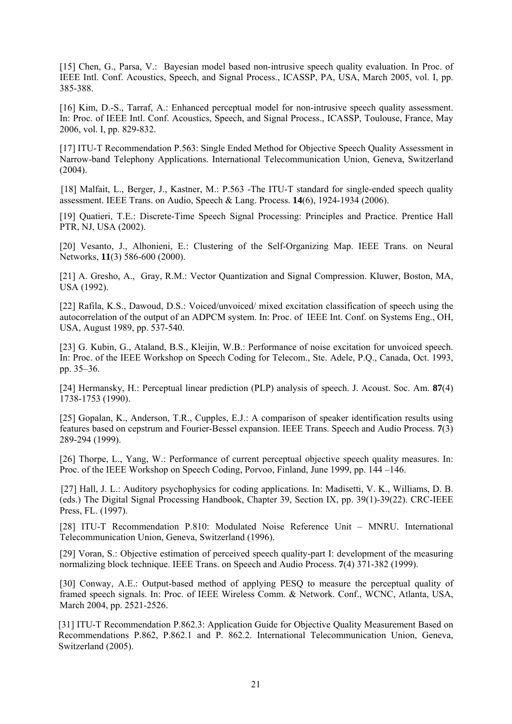[15] Chen, G., Parsa, V.: Bayesian model based non-intrusive speech quality evaluation. In Proc. of IEEE Intl. Conf. Acoustics, Speech, and Signal Process., ICASSP, PA, USA, March 2005, vol. I, pp. 385-388.

[16] Kim, D.-S., Tarraf, A.: Enhanced perceptual model for non-intrusive speech quality assessment. In: Proc. of IEEE Intl. Conf. Acoustics, Speech, and Signal Process., ICASSP, Toulouse, France, May 2006, vol. I, pp. 829-832.

[17] ITU-T Recommendation P.563: Single Ended Method for Objective Speech Quality Assessment in Narrow-band Telephony Applications. International Telecommunication Union, Geneva, Switzerland (2004).

[18] Malfait, L., Berger, J., Kastner, M.: P.563 -The ITU-T standard for single-ended speech quality assessment. IEEE Trans. on Audio, Speech & Lang. Process. **14**(6), 1924-1934 (2006).

[19] Quatieri, T.E.: Discrete-Time Speech Signal Processing: Principles and Practice. Prentice Hall PTR, NJ, USA (2002).

[20] Vesanto, J., Alhonieni, E.: Clustering of the Self-Organizing Map. IEEE Trans. on Neural Networks, **11**(3) 586-600 (2000).

[21] A. Gresho, A., Gray, R.M.: Vector Quantization and Signal Compression. Kluwer, Boston, MA, USA (1992).

[22] Rafila, K.S., Dawoud, D.S.: Voiced/unvoiced/ mixed excitation classification of speech using the autocorrelation of the output of an ADPCM system. In: Proc. of IEEE Int. Conf. on Systems Eng., OH, USA, August 1989, pp. 537-540.

[23] G. Kubin, G., Ataland, B.S., Kleijin, W.B.: Performance of noise excitation for unvoiced speech. In: Proc. of the IEEE Workshop on Speech Coding for Telecom., Ste. Adele, P.Q., Canada, Oct. 1993, pp. 35–36.

[24] Hermansky, H.: Perceptual linear prediction (PLP) analysis of speech. J. Acoust. Soc. Am. **87**(4) 1738-1753 (1990).

[25] Gopalan, K., Anderson, T.R., Cupples, E.J.: A comparison of speaker identification results using features based on cepstrum and Fourier-Bessel expansion. IEEE Trans. Speech and Audio Process. **7**(3) 289-294 (1999).

[26] Thorpe, L., Yang, W.: Performance of current perceptual objective speech quality measures. In: Proc. of the IEEE Workshop on Speech Coding, Porvoo, Finland, June 1999, pp. 144 –146.

[27] Hall, J. L.: Auditory psychophysics for coding applications. In: Madisetti, V. K., Williams, D. B. (eds.) The Digital Signal Processing Handbook, Chapter 39, Section IX, pp. 39(1)-39(22). CRC-IEEE Press, FL. (1997).

[28] ITU-T Recommendation P.810: Modulated Noise Reference Unit – MNRU. International Telecommunication Union, Geneva, Switzerland (1996).

[29] Voran, S.: Objective estimation of perceived speech quality-part I: development of the measuring normalizing block technique. IEEE Trans. on Speech and Audio Process. **7**(4) 371-382 (1999).

[30] Conway, A.E.: Output-based method of applying PESQ to measure the perceptual quality of framed speech signals. In: Proc. of IEEE Wireless Comm. & Network. Conf., WCNC, Atlanta, USA, March 2004, pp. 2521-2526.

[31] ITU-T Recommendation P.862.3: Application Guide for Objective Quality Measurement Based on Recommendations P.862, P.862.1 and P. 862.2. International Telecommunication Union, Geneva, Switzerland (2005).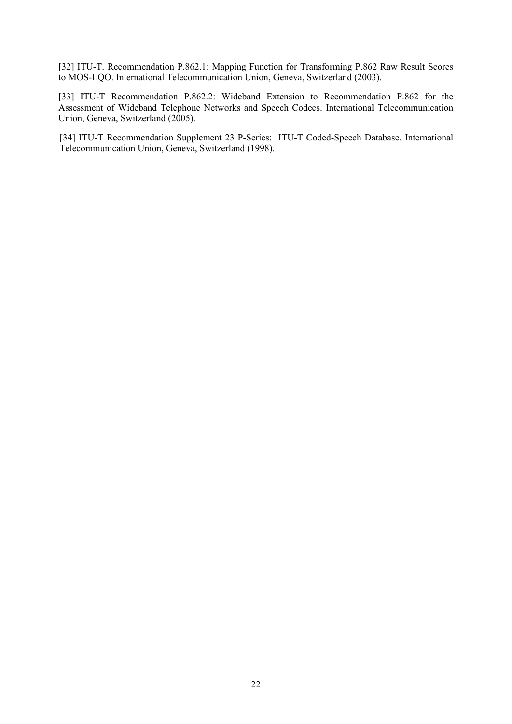[32] ITU-T. Recommendation P.862.1: Mapping Function for Transforming P.862 Raw Result Scores to MOS-LQO. International Telecommunication Union, Geneva, Switzerland (2003).

[33] ITU-T Recommendation P.862.2: Wideband Extension to Recommendation P.862 for the Assessment of Wideband Telephone Networks and Speech Codecs. International Telecommunication Union, Geneva, Switzerland (2005).

[34] ITU-T Recommendation Supplement 23 P-Series: ITU-T Coded-Speech Database. International Telecommunication Union, Geneva, Switzerland (1998).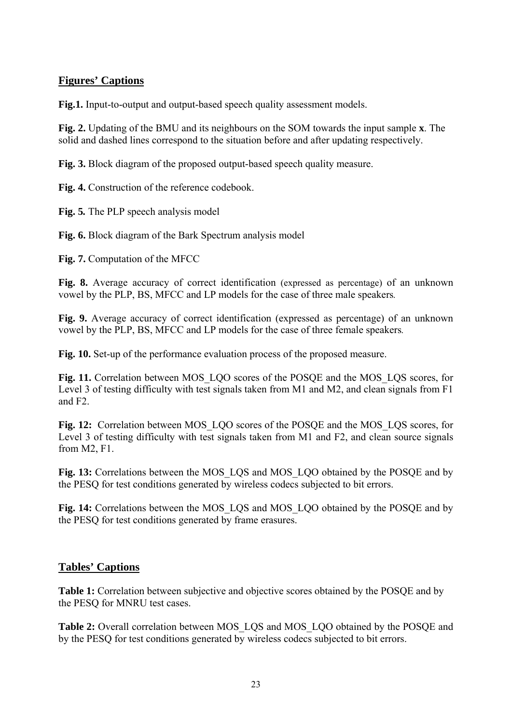### **Figures' Captions**

**Fig.1.** Input-to-output and output-based speech quality assessment models.

**Fig. 2.** Updating of the BMU and its neighbours on the SOM towards the input sample **x**. The solid and dashed lines correspond to the situation before and after updating respectively.

**Fig. 3.** Block diagram of the proposed output-based speech quality measure.

**Fig. 4.** Construction of the reference codebook.

**Fig. 5***.* The PLP speech analysis model

**Fig. 6.** Block diagram of the Bark Spectrum analysis model

**Fig. 7.** Computation of the MFCC

**Fig. 8.** Average accuracy of correct identification (expressed as percentage) of an unknown vowel by the PLP, BS, MFCC and LP models for the case of three male speakers*.* 

**Fig. 9.** Average accuracy of correct identification (expressed as percentage) of an unknown vowel by the PLP, BS, MFCC and LP models for the case of three female speakers*.* 

**Fig. 10.** Set-up of the performance evaluation process of the proposed measure.

Fig. 11. Correlation between MOS\_LQO scores of the POSQE and the MOS\_LQS scores, for Level 3 of testing difficulty with test signals taken from M1 and M2, and clean signals from F1 and F2.

**Fig. 12:** Correlation between MOS\_LQO scores of the POSQE and the MOS\_LQS scores, for Level 3 of testing difficulty with test signals taken from M1 and F2, and clean source signals from M2, F1.

**Fig. 13:** Correlations between the MOS\_LQS and MOS\_LQO obtained by the POSQE and by the PESQ for test conditions generated by wireless codecs subjected to bit errors.

**Fig. 14:** Correlations between the MOS\_LQS and MOS\_LQO obtained by the POSQE and by the PESQ for test conditions generated by frame erasures.

### **Tables' Captions**

**Table 1:** Correlation between subjective and objective scores obtained by the POSQE and by the PESQ for MNRU test cases.

**Table 2:** Overall correlation between MOS\_LQS and MOS\_LQO obtained by the POSQE and by the PESQ for test conditions generated by wireless codecs subjected to bit errors.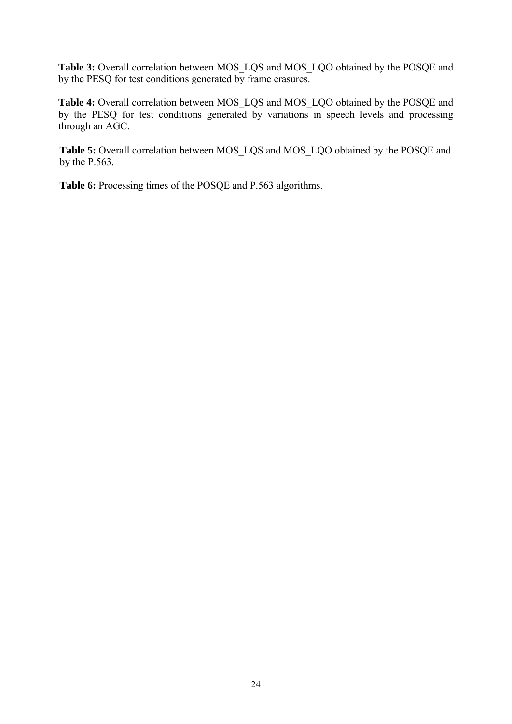**Table 3:** Overall correlation between MOS\_LQS and MOS\_LQO obtained by the POSQE and by the PESQ for test conditions generated by frame erasures.

**Table 4:** Overall correlation between MOS\_LQS and MOS\_LQO obtained by the POSQE and by the PESQ for test conditions generated by variations in speech levels and processing through an AGC.

Table 5: Overall correlation between MOS\_LQS and MOS\_LQO obtained by the POSQE and by the P.563.

**Table 6:** Processing times of the POSQE and P.563 algorithms.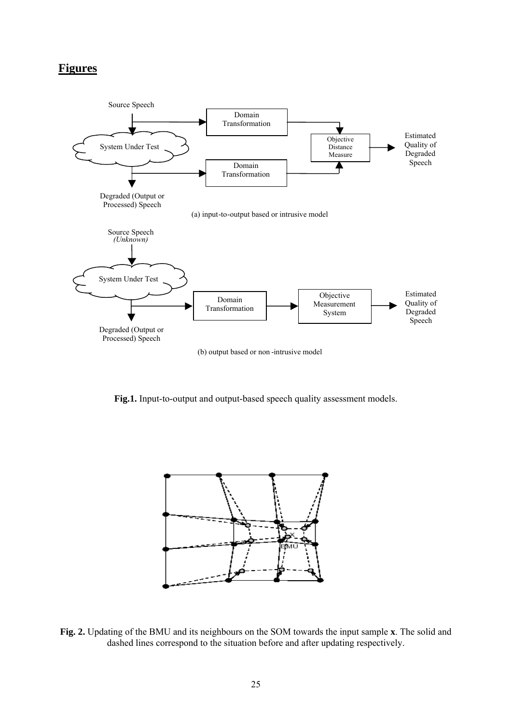# **Figures**



**Fig.1.** Input-to-output and output-based speech quality assessment models.



**Fig. 2.** Updating of the BMU and its neighbours on the SOM towards the input sample **x**. The solid and dashed lines correspond to the situation before and after updating respectively.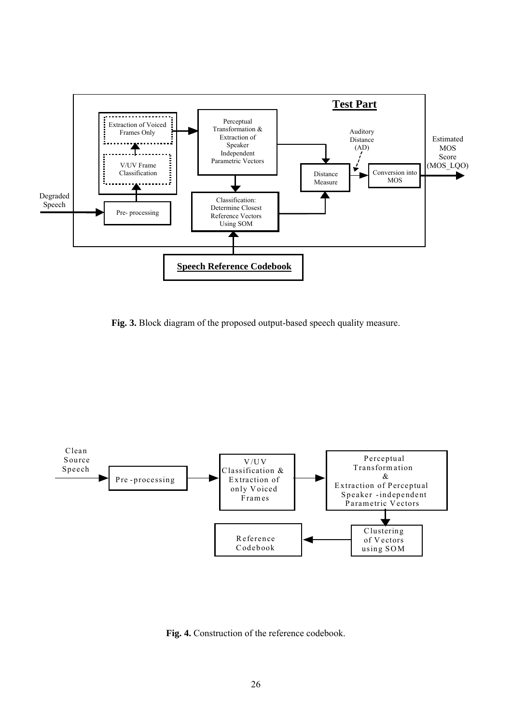

**Fig. 3.** Block diagram of the proposed output-based speech quality measure.



**Fig. 4.** Construction of the reference codebook.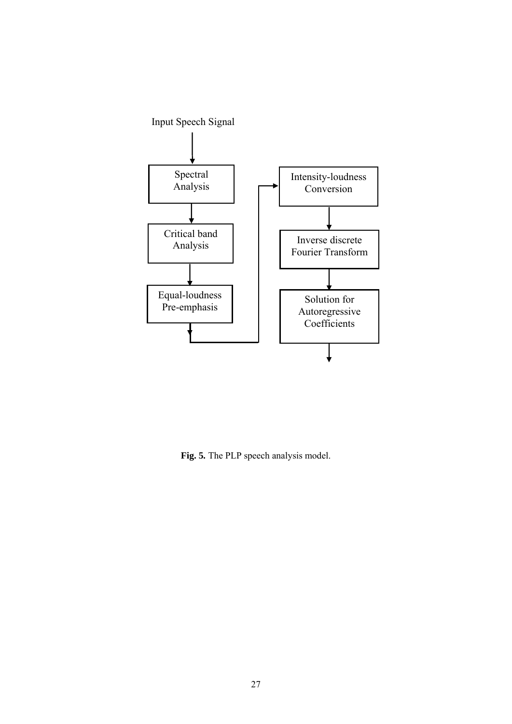

**Fig. 5***.* The PLP speech analysis model.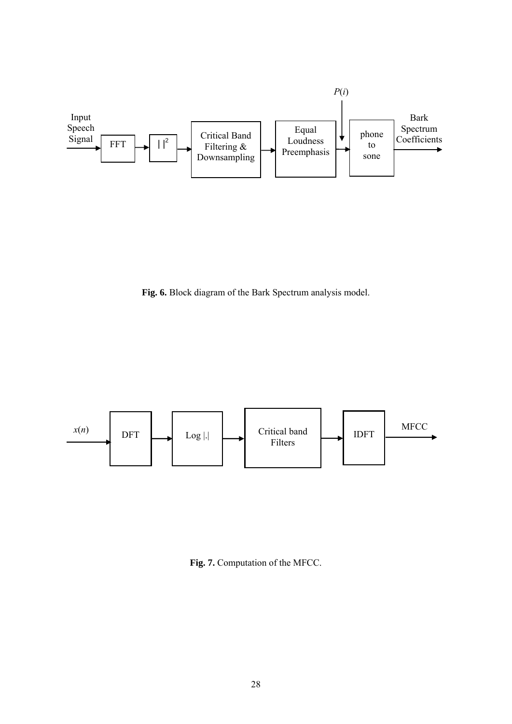

**Fig. 6.** Block diagram of the Bark Spectrum analysis model.



**Fig. 7.** Computation of the MFCC.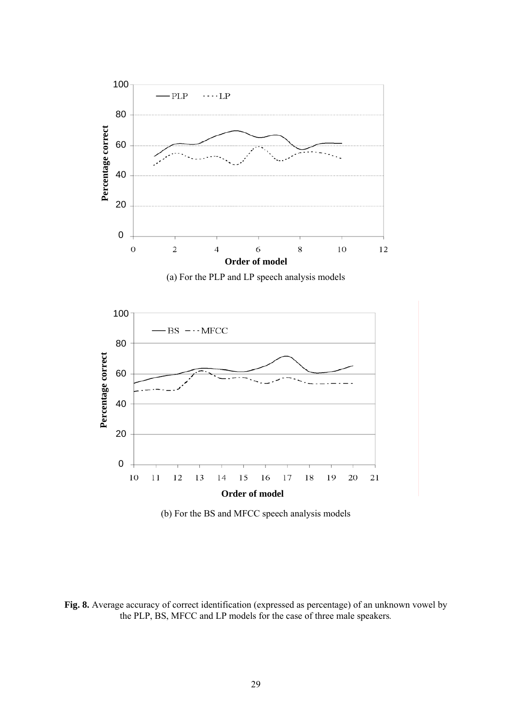

(b) For the BS and MFCC speech analysis models

**Fig. 8.** Average accuracy of correct identification (expressed as percentage) of an unknown vowel by the PLP, BS, MFCC and LP models for the case of three male speakers*.*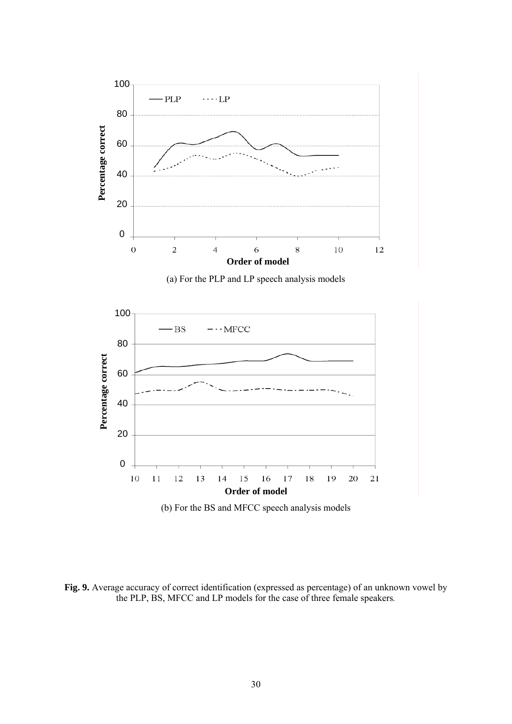

**Fig. 9.** Average accuracy of correct identification (expressed as percentage) of an unknown vowel by the PLP, BS, MFCC and LP models for the case of three female speakers*.*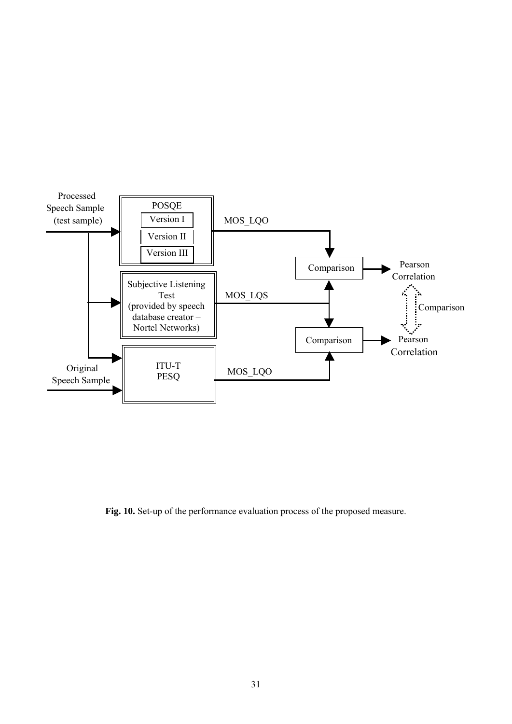

**Fig. 10.** Set-up of the performance evaluation process of the proposed measure.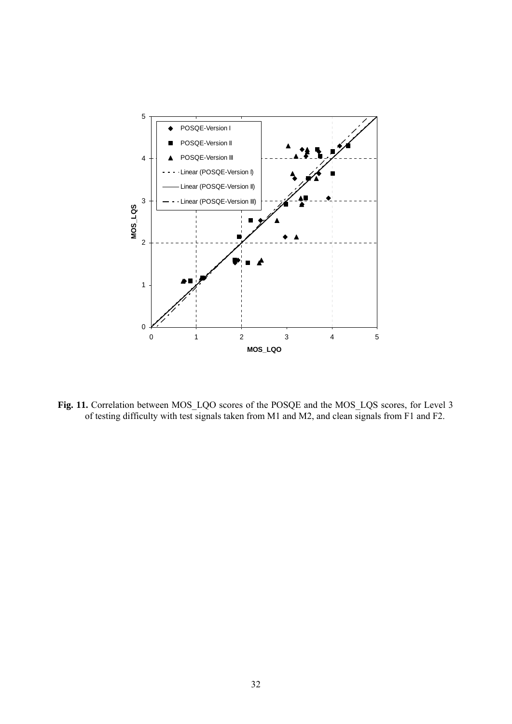

Fig. 11. Correlation between MOS\_LQO scores of the POSQE and the MOS\_LQS scores, for Level 3 of testing difficulty with test signals taken from M1 and M2, and clean signals from F1 and F2.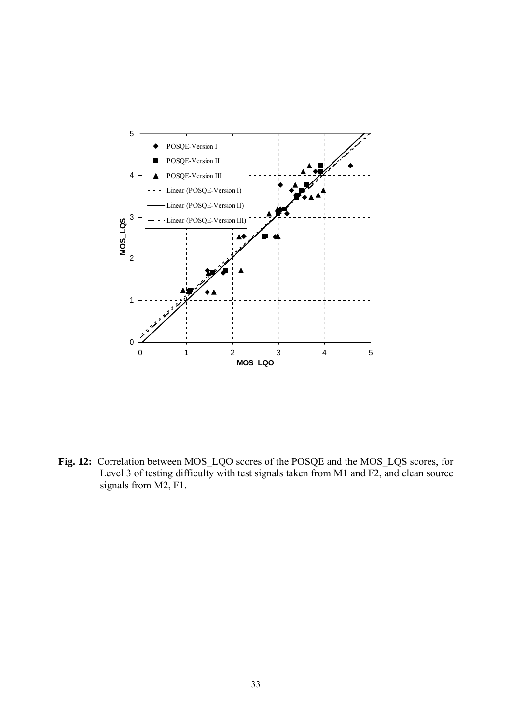

**Fig. 12:** Correlation between MOS\_LQO scores of the POSQE and the MOS\_LQS scores, for Level 3 of testing difficulty with test signals taken from M1 and F2, and clean source signals from M2, F1.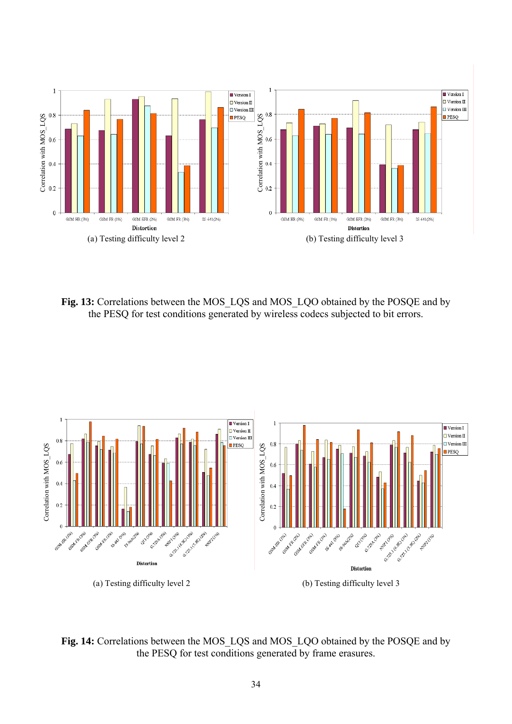

**Fig. 13:** Correlations between the MOS\_LQS and MOS\_LQO obtained by the POSQE and by the PESQ for test conditions generated by wireless codecs subjected to bit errors.



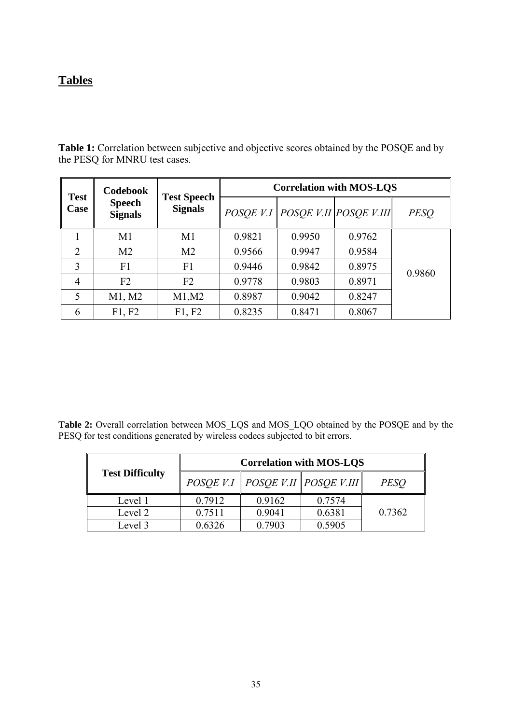# **Tables**

Table 1: Correlation between subjective and objective scores obtained by the POSQE and by the PESQ for MNRU test cases.

| <b>Test</b><br><b>Speech</b><br>Case<br><b>Signals</b> | <b>Codebook</b> | <b>Test Speech</b><br><b>Signals</b> | <b>Correlation with MOS-LQS</b> |        |                              |             |
|--------------------------------------------------------|-----------------|--------------------------------------|---------------------------------|--------|------------------------------|-------------|
|                                                        |                 |                                      | POSOE V.I                       |        | $\ POSQE$ V.II $POSQE$ V.III | <b>PESQ</b> |
|                                                        | M1              | M1                                   | 0.9821                          | 0.9950 | 0.9762                       |             |
| $\overline{2}$                                         | M <sub>2</sub>  | M <sub>2</sub>                       | 0.9566                          | 0.9947 | 0.9584                       |             |
| 3                                                      | F <sub>1</sub>  | F <sub>1</sub>                       | 0.9446                          | 0.9842 | 0.8975                       | 0.9860      |
| 4                                                      | F <sub>2</sub>  | F <sub>2</sub>                       | 0.9778                          | 0.9803 | 0.8971                       |             |
| 5                                                      | M1, M2          | M1,M2                                | 0.8987                          | 0.9042 | 0.8247                       |             |
| 6                                                      | F1, F2          | F1, F2                               | 0.8235                          | 0.8471 | 0.8067                       |             |

Table 2: Overall correlation between MOS\_LQS and MOS\_LQO obtained by the POSQE and by the PESQ for test conditions generated by wireless codecs subjected to bit errors.

|                        | <b>Correlation with MOS-LQS</b> |        |                                      |             |  |
|------------------------|---------------------------------|--------|--------------------------------------|-------------|--|
| <b>Test Difficulty</b> |                                 |        | POSQE V.I   POSQE V.II   POSQE V.III | <b>PESO</b> |  |
| Level 1                | 0.7912                          | 0.9162 | 0.7574                               |             |  |
| Level 2                | 0.7511                          | 0.9041 | 0.6381                               | 0.7362      |  |
| Level 3                | 0.6326                          | 0.7903 | 0.5905                               |             |  |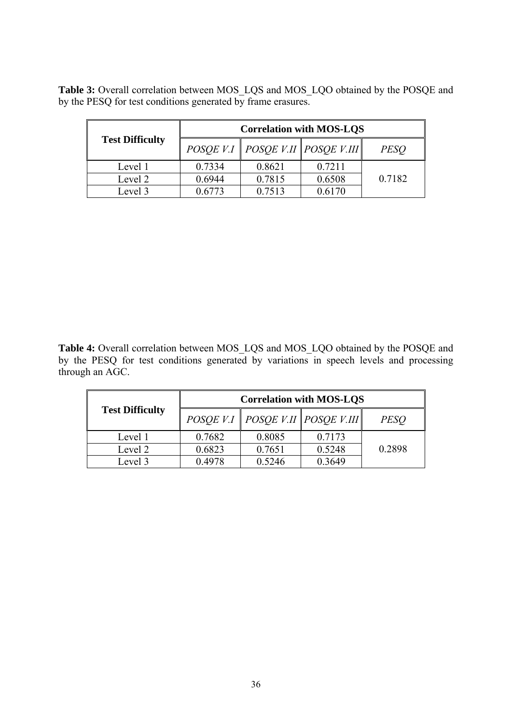**Table 3:** Overall correlation between MOS\_LQS and MOS\_LQO obtained by the POSQE and by the PESQ for test conditions generated by frame erasures.

|                        | <b>Correlation with MOS-LQS</b> |        |                                      |             |  |
|------------------------|---------------------------------|--------|--------------------------------------|-------------|--|
| <b>Test Difficulty</b> |                                 |        | POSQE V.I   POSQE V.II   POSQE V.III | <i>PESO</i> |  |
| Level 1                | 0.7334                          | 0.8621 | 0.7211                               |             |  |
| Level 2                | 0.6944                          | 0.7815 | 0.6508                               | 0.7182      |  |
| Level 3                | J 6773                          | 0.7513 | 0.6170                               |             |  |

Table 4: Overall correlation between MOS\_LQS and MOS\_LQO obtained by the POSQE and by the PESQ for test conditions generated by variations in speech levels and processing through an AGC.

|                        | <b>Correlation with MOS-LQS</b> |        |                                      |             |  |
|------------------------|---------------------------------|--------|--------------------------------------|-------------|--|
| <b>Test Difficulty</b> |                                 |        | POSQE V.I   POSQE V.II   POSQE V.III | <i>PESO</i> |  |
| Level 1                | 0.7682                          | 0.8085 | 0.7173                               |             |  |
| Level 2                | 0.6823                          | 0.7651 | 0.5248                               | 0.2898      |  |
| Level 3                | 0.4978                          | 0.5246 | 0.3649                               |             |  |